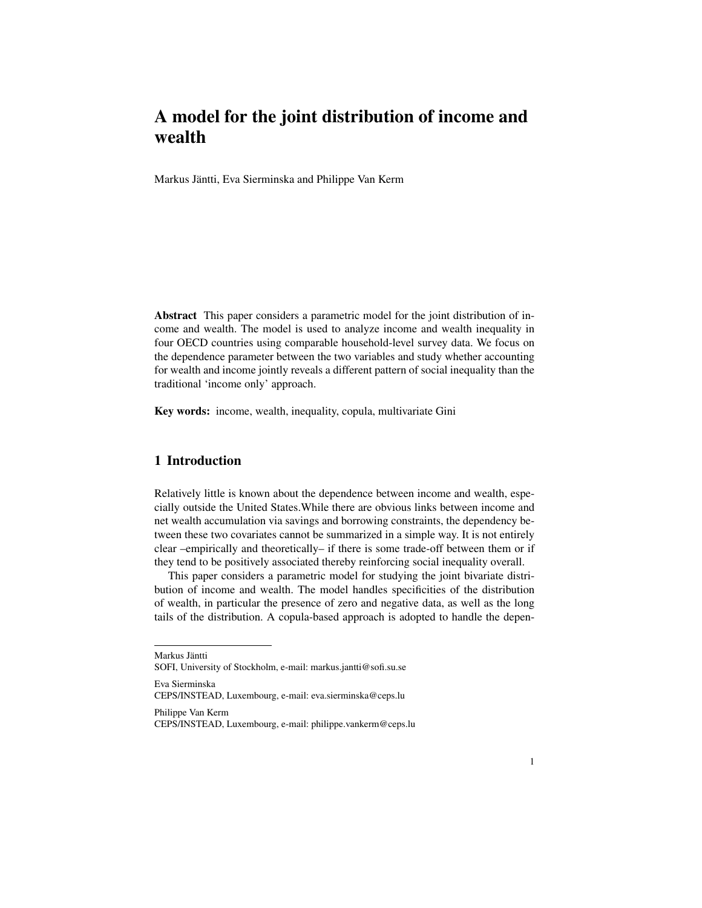# A model for the joint distribution of income and wealth

Markus Jäntti, Eva Sierminska and Philippe Van Kerm

Abstract This paper considers a parametric model for the joint distribution of income and wealth. The model is used to analyze income and wealth inequality in four OECD countries using comparable household-level survey data. We focus on the dependence parameter between the two variables and study whether accounting for wealth and income jointly reveals a different pattern of social inequality than the traditional 'income only' approach.

Key words: income, wealth, inequality, copula, multivariate Gini

## 1 Introduction

Relatively little is known about the dependence between income and wealth, especially outside the United States.While there are obvious links between income and net wealth accumulation via savings and borrowing constraints, the dependency between these two covariates cannot be summarized in a simple way. It is not entirely clear –empirically and theoretically– if there is some trade-off between them or if they tend to be positively associated thereby reinforcing social inequality overall.

This paper considers a parametric model for studying the joint bivariate distribution of income and wealth. The model handles specificities of the distribution of wealth, in particular the presence of zero and negative data, as well as the long tails of the distribution. A copula-based approach is adopted to handle the depen-

Eva Sierminska

Philippe Van Kerm

Markus Jäntti

SOFI, University of Stockholm, e-mail: markus.jantti@sofi.su.se

CEPS/INSTEAD, Luxembourg, e-mail: eva.sierminska@ceps.lu

CEPS/INSTEAD, Luxembourg, e-mail: philippe.vankerm@ceps.lu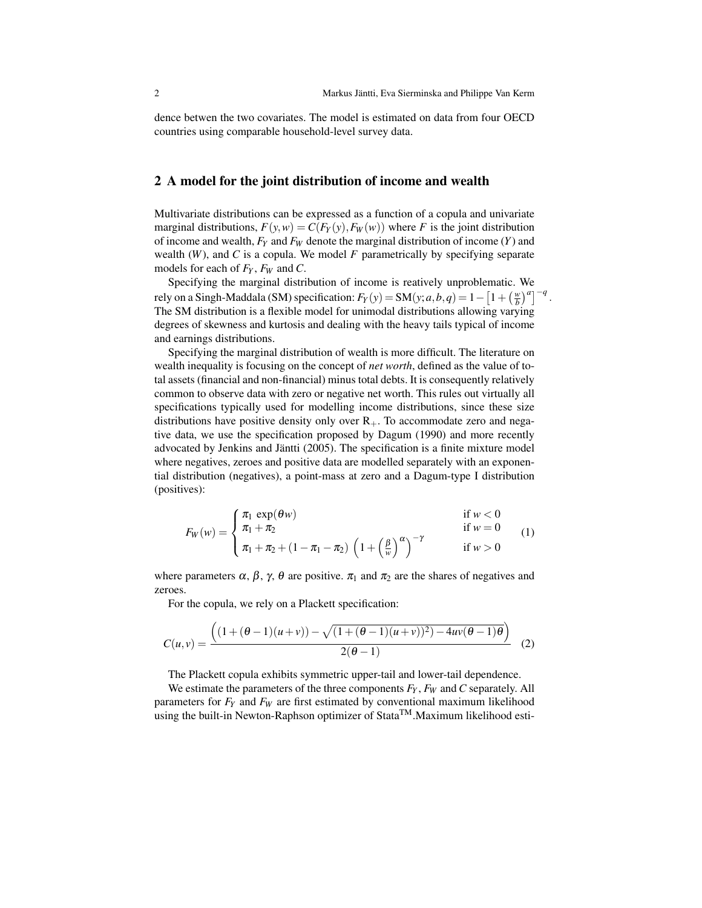dence betwen the two covariates. The model is estimated on data from four OECD countries using comparable household-level survey data.

#### 2 A model for the joint distribution of income and wealth

Multivariate distributions can be expressed as a function of a copula and univariate marginal distributions,  $F(y, w) = C(F_Y(y), F_W(w))$  where *F* is the joint distribution of income and wealth, *F<sup>Y</sup>* and *F<sup>W</sup>* denote the marginal distribution of income (*Y*) and wealth  $(W)$ , and  $C$  is a copula. We model  $F$  parametrically by specifying separate models for each of *F<sup>Y</sup>* , *F<sup>W</sup>* and *C*.

Specifying the marginal distribution of income is reatively unproblematic. We rely on a Singh-Maddala (SM) specification:  $F_Y(y) = SM(y; a, b, q) = 1 - \left[1 + \left(\frac{w}{b}\right)^a\right]^{-q}$ . The SM distribution is a flexible model for unimodal distributions allowing varying degrees of skewness and kurtosis and dealing with the heavy tails typical of income and earnings distributions.

Specifying the marginal distribution of wealth is more difficult. The literature on wealth inequality is focusing on the concept of *net worth*, defined as the value of total assets (financial and non-financial) minus total debts. It is consequently relatively common to observe data with zero or negative net worth. This rules out virtually all specifications typically used for modelling income distributions, since these size distributions have positive density only over  $R_{+}$ . To accommodate zero and negative data, we use the specification proposed by Dagum (1990) and more recently advocated by Jenkins and Jäntti (2005). The specification is a finite mixture model where negatives, zeroes and positive data are modelled separately with an exponential distribution (negatives), a point-mass at zero and a Dagum-type I distribution (positives):

$$
w = \begin{cases} \pi_1 \exp(\theta w) & \text{if } w < 0 \\ \pi_1 + \pi_2 & \text{if } w = 0 \\ \end{cases} \tag{1}
$$

$$
F_W(w) = \begin{cases} u_1 + u_2 & \text{if } w = 0 \\ \pi_1 + \pi_2 + (1 - \pi_1 - \pi_2) \left( 1 + \left( \frac{\beta}{w} \right)^{\alpha} \right)^{-\gamma} & \text{if } w > 0 \end{cases}
$$
(1)

where parameters  $\alpha$ ,  $\beta$ ,  $\gamma$ ,  $\theta$  are positive.  $\pi_1$  and  $\pi_2$  are the shares of negatives and zeroes.

For the copula, we rely on a Plackett specification:

$$
C(u,v) = \frac{\left( (1 + (\theta - 1)(u+v)) - \sqrt{(1 + (\theta - 1)(u+v))^2) - 4uv(\theta - 1)\theta} \right)}{2(\theta - 1)}
$$
(2)

The Plackett copula exhibits symmetric upper-tail and lower-tail dependence.

We estimate the parameters of the three components *F<sup>Y</sup>* , *F<sup>W</sup>* and *C* separately. All parameters for *F<sup>Y</sup>* and *F<sup>W</sup>* are first estimated by conventional maximum likelihood using the built-in Newton-Raphson optimizer of Stata<sup>TM</sup>.Maximum likelihood esti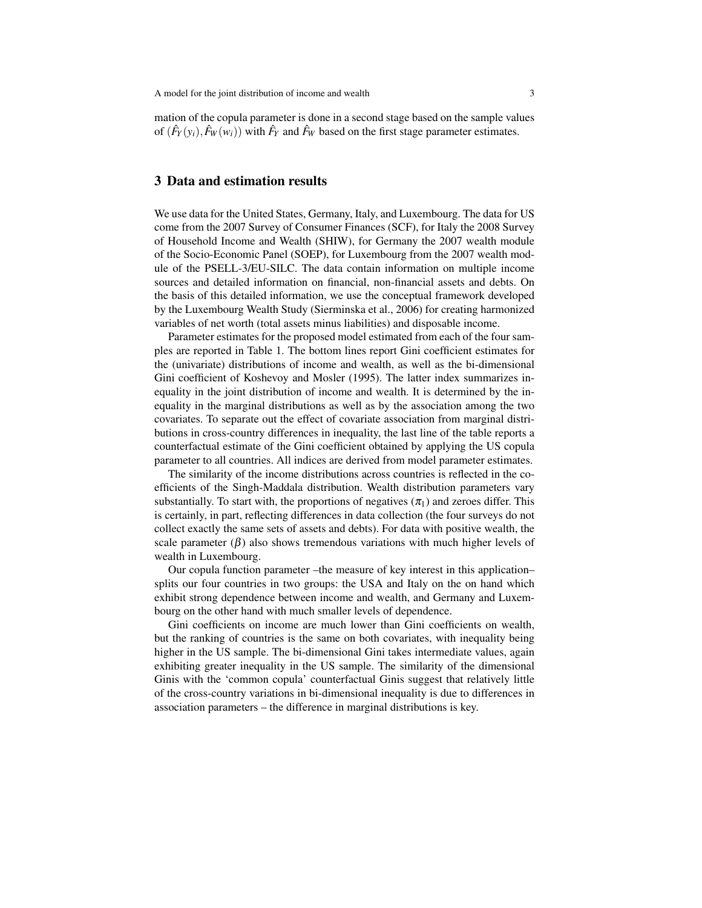A model for the joint distribution of income and wealth 3

mation of the copula parameter is done in a second stage based on the sample values of  $(\hat{F}_Y(y_i), \hat{F}_W(w_i))$  with  $\hat{F}_Y$  and  $\hat{F}_W$  based on the first stage parameter estimates.

#### 3 Data and estimation results

We use data for the United States, Germany, Italy, and Luxembourg. The data for US come from the 2007 Survey of Consumer Finances (SCF), for Italy the 2008 Survey of Household Income and Wealth (SHIW), for Germany the 2007 wealth module of the Socio-Economic Panel (SOEP), for Luxembourg from the 2007 wealth module of the PSELL-3/EU-SILC. The data contain information on multiple income sources and detailed information on financial, non-financial assets and debts. On the basis of this detailed information, we use the conceptual framework developed by the Luxembourg Wealth Study (Sierminska et al., 2006) for creating harmonized variables of net worth (total assets minus liabilities) and disposable income.

Parameter estimates for the proposed model estimated from each of the four samples are reported in Table 1. The bottom lines report Gini coefficient estimates for the (univariate) distributions of income and wealth, as well as the bi-dimensional Gini coefficient of Koshevoy and Mosler (1995). The latter index summarizes inequality in the joint distribution of income and wealth. It is determined by the inequality in the marginal distributions as well as by the association among the two covariates. To separate out the effect of covariate association from marginal distributions in cross-country differences in inequality, the last line of the table reports a counterfactual estimate of the Gini coefficient obtained by applying the US copula parameter to all countries. All indices are derived from model parameter estimates.

The similarity of the income distributions across countries is reflected in the coefficients of the Singh-Maddala distribution. Wealth distribution parameters vary substantially. To start with, the proportions of negatives  $(\pi_1)$  and zeroes differ. This is certainly, in part, reflecting differences in data collection (the four surveys do not collect exactly the same sets of assets and debts). For data with positive wealth, the scale parameter  $(\beta)$  also shows tremendous variations with much higher levels of wealth in Luxembourg.

Our copula function parameter –the measure of key interest in this application– splits our four countries in two groups: the USA and Italy on the on hand which exhibit strong dependence between income and wealth, and Germany and Luxembourg on the other hand with much smaller levels of dependence.

Gini coefficients on income are much lower than Gini coefficients on wealth, but the ranking of countries is the same on both covariates, with inequality being higher in the US sample. The bi-dimensional Gini takes intermediate values, again exhibiting greater inequality in the US sample. The similarity of the dimensional Ginis with the 'common copula' counterfactual Ginis suggest that relatively little of the cross-country variations in bi-dimensional inequality is due to differences in association parameters – the difference in marginal distributions is key.